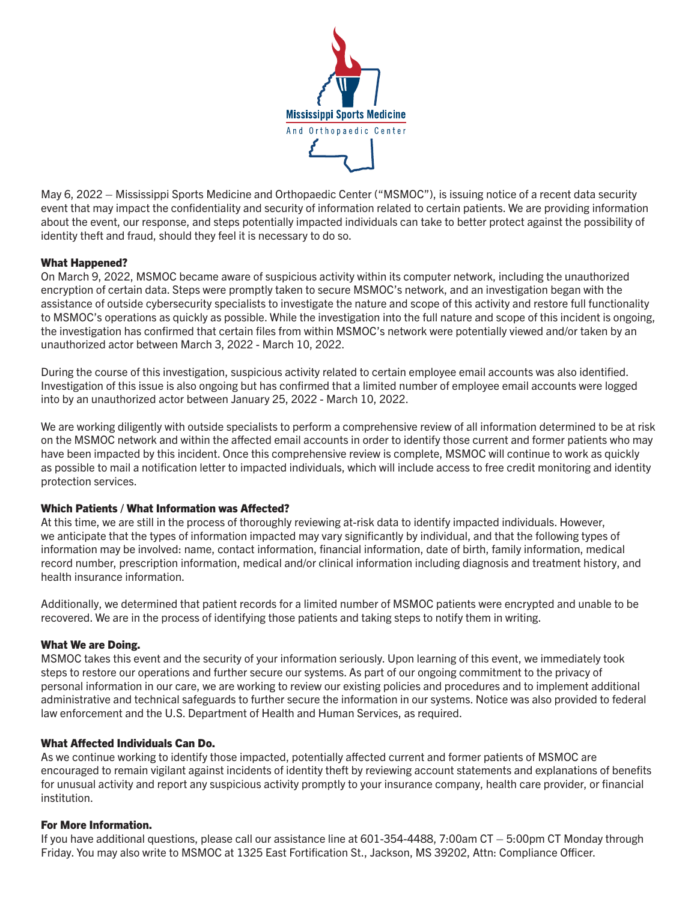

May 6, 2022 – Mississippi Sports Medicine and Orthopaedic Center ("MSMOC"), is issuing notice of a recent data security event that may impact the confidentiality and security of information related to certain patients. We are providing information about the event, our response, and steps potentially impacted individuals can take to better protect against the possibility of identity theft and fraud, should they feel it is necessary to do so.

# What Happened?

On March 9, 2022, MSMOC became aware of suspicious activity within its computer network, including the unauthorized encryption of certain data. Steps were promptly taken to secure MSMOC's network, and an investigation began with the assistance of outside cybersecurity specialists to investigate the nature and scope of this activity and restore full functionality to MSMOC's operations as quickly as possible. While the investigation into the full nature and scope of this incident is ongoing, the investigation has confirmed that certain files from within MSMOC's network were potentially viewed and/or taken by an unauthorized actor between March 3, 2022 - March 10, 2022.

During the course of this investigation, suspicious activity related to certain employee email accounts was also identified. Investigation of this issue is also ongoing but has confirmed that a limited number of employee email accounts were logged into by an unauthorized actor between January 25, 2022 - March 10, 2022.

We are working diligently with outside specialists to perform a comprehensive review of all information determined to be at risk on the MSMOC network and within the affected email accounts in order to identify those current and former patients who may have been impacted by this incident. Once this comprehensive review is complete, MSMOC will continue to work as quickly as possible to mail a notification letter to impacted individuals, which will include access to free credit monitoring and identity protection services.

# Which Patients / What Information was Affected?

At this time, we are still in the process of thoroughly reviewing at-risk data to identify impacted individuals. However, we anticipate that the types of information impacted may vary significantly by individual, and that the following types of information may be involved: name, contact information, financial information, date of birth, family information, medical record number, prescription information, medical and/or clinical information including diagnosis and treatment history, and health insurance information.

Additionally, we determined that patient records for a limited number of MSMOC patients were encrypted and unable to be recovered. We are in the process of identifying those patients and taking steps to notify them in writing.

# What We are Doing.

MSMOC takes this event and the security of your information seriously. Upon learning of this event, we immediately took steps to restore our operations and further secure our systems. As part of our ongoing commitment to the privacy of personal information in our care, we are working to review our existing policies and procedures and to implement additional administrative and technical safeguards to further secure the information in our systems. Notice was also provided to federal law enforcement and the U.S. Department of Health and Human Services, as required.

# What Affected Individuals Can Do.

As we continue working to identify those impacted, potentially affected current and former patients of MSMOC are encouraged to remain vigilant against incidents of identity theft by reviewing account statements and explanations of benefits for unusual activity and report any suspicious activity promptly to your insurance company, health care provider, or financial institution.

# For More Information.

If you have additional questions, please call our assistance line at 601-354-4488, 7:00am CT – 5:00pm CT Monday through Friday. You may also write to MSMOC at 1325 East Fortification St., Jackson, MS 39202, Attn: Compliance Officer.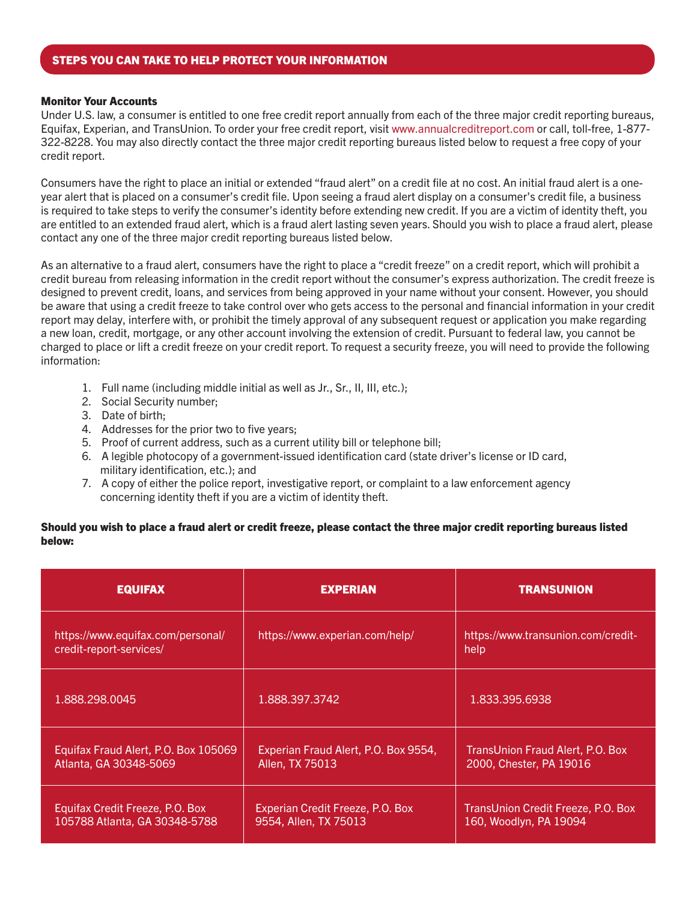#### STEPS YOU CAN TAKE TO HELP PROTECT YOUR INFORMATION

#### Monitor Your Accounts

Under U.S. law, a consumer is entitled to one free credit report annually from each of the three major credit reporting bureaus, Equifax, Experian, and TransUnion. To order your free credit report, visit www.annualcreditreport.com or call, toll-free, 1-877- 322-8228. You may also directly contact the three major credit reporting bureaus listed below to request a free copy of your credit report.

Consumers have the right to place an initial or extended "fraud alert" on a credit file at no cost. An initial fraud alert is a oneyear alert that is placed on a consumer's credit file. Upon seeing a fraud alert display on a consumer's credit file, a business is required to take steps to verify the consumer's identity before extending new credit. If you are a victim of identity theft, you are entitled to an extended fraud alert, which is a fraud alert lasting seven years. Should you wish to place a fraud alert, please contact any one of the three major credit reporting bureaus listed below.

As an alternative to a fraud alert, consumers have the right to place a "credit freeze" on a credit report, which will prohibit a credit bureau from releasing information in the credit report without the consumer's express authorization. The credit freeze is designed to prevent credit, loans, and services from being approved in your name without your consent. However, you should be aware that using a credit freeze to take control over who gets access to the personal and financial information in your credit report may delay, interfere with, or prohibit the timely approval of any subsequent request or application you make regarding a new loan, credit, mortgage, or any other account involving the extension of credit. Pursuant to federal law, you cannot be charged to place or lift a credit freeze on your credit report. To request a security freeze, you will need to provide the following information:

- 1. Full name (including middle initial as well as Jr., Sr., II, III, etc.);
- 2. Social Security number;
- 3. Date of birth;
- 4. Addresses for the prior two to five years;
- 5. Proof of current address, such as a current utility bill or telephone bill;
- 6. A legible photocopy of a government-issued identification card (state driver's license or ID card, military identification, etc.); and
- 7. A copy of either the police report, investigative report, or complaint to a law enforcement agency concerning identity theft if you are a victim of identity theft.

#### Should you wish to place a fraud alert or credit freeze, please contact the three major credit reporting bureaus listed below:

| <b>EQUIFAX</b>                                                   | <b>EXPERIAN</b>                                           | <b>TRANSUNION</b>                                            |
|------------------------------------------------------------------|-----------------------------------------------------------|--------------------------------------------------------------|
| https://www.equifax.com/personal/<br>credit-report-services/     | https://www.experian.com/help/                            | https://www.transunion.com/credit-<br>help                   |
| 1.888.298.0045                                                   | 1.888.397.3742                                            | 1.833.395.6938                                               |
| Equifax Fraud Alert, P.O. Box 105069<br>Atlanta, GA 30348-5069   | Experian Fraud Alert, P.O. Box 9554,<br>Allen, TX 75013   | TransUnion Fraud Alert, P.O. Box<br>2000, Chester, PA 19016  |
| Equifax Credit Freeze, P.O. Box<br>105788 Atlanta, GA 30348-5788 | Experian Credit Freeze, P.O. Box<br>9554, Allen, TX 75013 | TransUnion Credit Freeze, P.O. Box<br>160, Woodlyn, PA 19094 |